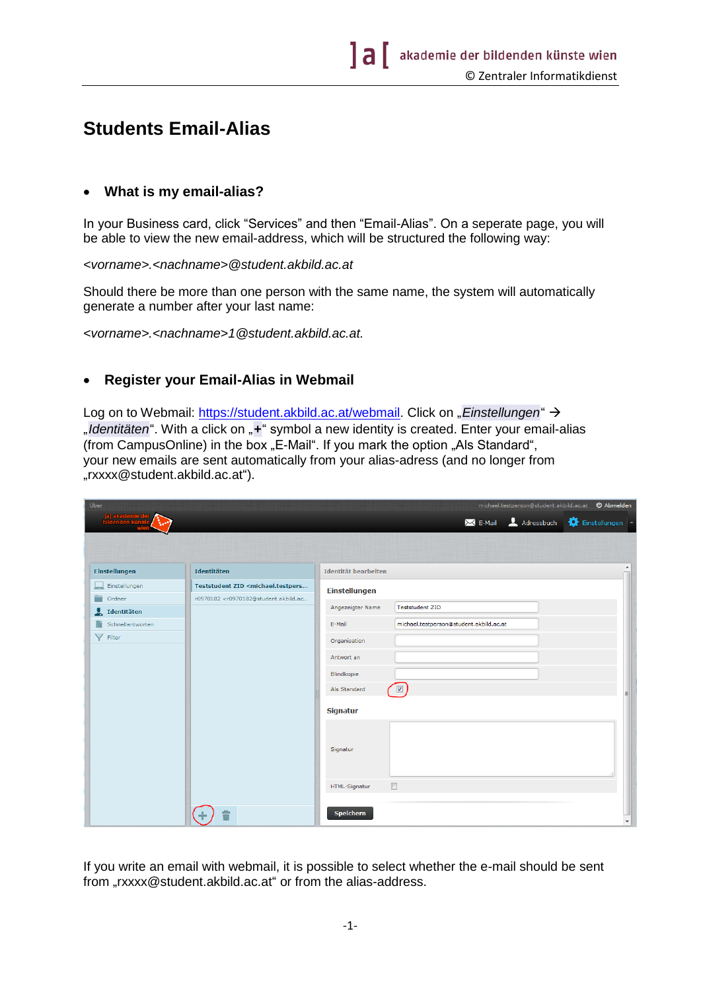## **Students Email-Alias**

## **What is my email-alias?**

In your Business card, click "Services" and then "Email-Alias". On a seperate page, you will be able to view the new email-address, which will be structured the following way:

*<vorname>.<nachname>@student.akbild.ac.at*

Should there be more than one person with the same name, the system will automatically generate a number after your last name:

*<vorname>.<nachname[>1@student.akbild.ac.at.](mailto:1@student.akbild.ac.at)*

## **Register your Email-Alias in Webmail**

Log on to Webmail: [https://student.akbild.ac.at/webmail.](https://student.akbild.ac.at/webmail) Click on "Einstellungen" > "Identitäten". With a click on "+" symbol a new identity is created. Enter your email-alias (from CampusOnline) in the box "E-Mail". If you mark the option "Als Standard", your new emails are sent automatically from your alias-adress (and no longer from "rxxxx@student.akbild.ac.at").

| Über                  |                                                                                                       |                      |                                         |                          |
|-----------------------|-------------------------------------------------------------------------------------------------------|----------------------|-----------------------------------------|--------------------------|
|                       |                                                                                                       |                      | X E-Mail 4 Adressbuch                   | Einstellungen            |
|                       |                                                                                                       |                      |                                         |                          |
|                       |                                                                                                       |                      |                                         |                          |
| <b>Einstellungen</b>  | Identitäten                                                                                           | Identität bearbeiten |                                         | $\blacktriangle$         |
| Einstellungen         | Teststudent ZID <michael.testpers< th=""><th>Einstellungen</th><th></th><th></th></michael.testpers<> | Einstellungen        |                                         |                          |
| ÷<br>Ordner           | r0970182 <r0970182@student.akbild.ac< td=""><td></td><td></td><td></td></r0970182@student.akbild.ac<> |                      |                                         |                          |
| $\sum$ Identitäten    |                                                                                                       | Angezeigter Name     | <b>Teststudent ZID</b>                  |                          |
| n<br>Schnellantworten |                                                                                                       | E-Mail               | michael.testperson@student.akbild.ac.at |                          |
| v<br>Filter           |                                                                                                       | Organisation         |                                         |                          |
|                       |                                                                                                       | Antwort an           |                                         |                          |
|                       |                                                                                                       | Blindkopie           |                                         |                          |
|                       |                                                                                                       |                      |                                         |                          |
|                       |                                                                                                       | Als Standard         | $\overline{\mathbf{v}}$                 | E                        |
|                       |                                                                                                       | <b>Signatur</b>      |                                         |                          |
|                       |                                                                                                       |                      |                                         |                          |
|                       |                                                                                                       |                      |                                         |                          |
|                       |                                                                                                       | Signatur             |                                         |                          |
|                       |                                                                                                       |                      |                                         |                          |
|                       |                                                                                                       | HTML-Signatur        | $\Box$                                  |                          |
|                       |                                                                                                       |                      |                                         |                          |
|                       |                                                                                                       | <b>Speichern</b>     |                                         |                          |
|                       |                                                                                                       |                      |                                         | $\overline{\phantom{a}}$ |

If you write an email with webmail, it is possible to select whether the e-mail should be sent from "rxxxx@student.akbild.ac.at" or from the alias-address.